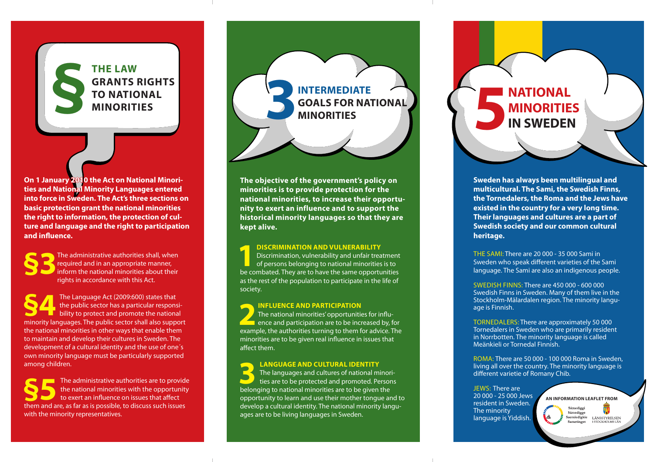## **SEPTIE LAW GRANTS IN TO NATION MINORITI GRANTS RIGHTS TO NATIONAL**

**On 1 January 2010 the Act on National Minorities and National Minority Languages entered into force in Sweden. The Act's three sections on basic protection grant the national minorities the right to information, the protection of culture and language and the right to participation and influence.**

**S**The administrative authorities shall, when<br>required and in an appropriate manner,<br>inform the national minorities about their<br>rights in accordance with this Act required and in an appropriate manner, inform the national minorities about their rights in accordance with this Act.

**S44The Language Act (2009:600) states that**<br>the public sector has a particular response bility to protect and promote the national<br>minority language The public certer shall also summ the public sector has a particular responsibility to protect and promote the national minority languages. The public sector shall also support the national minorities in other ways that enable them to maintain and develop their cultures in Sweden. The development of a cultural identity and the use of one´s own minority language must be particularly supported among children.

**S**<br>**S** The administrative authorities are to provide<br>to exert an influence on issues that affect<br>them and are as far as is possible to discuss such issues the national minorities with the opportunity to exert an influence on issues that affect them and are, as far as is possible, to discuss such issues with the minority representatives.

**SPANTS RIGHTS<br>
MINORITIES 31 AND SOALS FOR NATIONAL GOALS FOR NATIONAL** 

> **The objective of the government's policy on minorities is to provide protection for the national minorities, to increase their opportunity to exert an influence and to support the historical minority languages so that they are kept alive.**

**1 DISCRIMINATION AND VULNERABILITY**<br>Discrimination, vulnerability and unfair treatment of persons belonging to national minorities is to<br>be compated. They are to have the same opportunities Discrimination, vulnerability and unfair treatment be combated. They are to have the same opportunities as the rest of the population to participate in the life of society.

**2 INFLUENCE AND PARTICIPATION**<br>
The national minorities' opportunities for influence and participation are to be increased by, for<br>
example the authorities turning to them for advice The The national minorities' opportunities for influexample, the authorities turning to them for advice. The minorities are to be given real influence in issues that affect them.

**3 LANGUAGE AND CULTURAL IDENTITY** The languages and cultures of national minorities are to be protected and promoted. Persons belonging to national minorities are to be given the opportunity to learn and use their mother tongue and to develop a cultural identity. The national minority languages are to be living languages in Sweden.

**MINORITIES 5NATIONAL MINORITIES IN SWEDEN**

> **Sweden has always been multilingual and multicultural. The Sami, the Swedish Finns, the Tornedalers, the Roma and the Jews have existed in the country for a very long time. Their languages and cultures are a part of Swedish society and our common cultural heritage.**

THE SAMI: There are 20 000 - 35 000 Sami in Sweden who speak different varieties of the Sami language. The Sami are also an indigenous people.

SWEDISH FINNS::There are 450 000 - 600 000 Swedish Finns in Sweden. Many of them live in the Stockholm-Mälardalen region. The minority language is Finnish.

TORNEDALERS: There are approximately 50 000 Tornedalers in Sweden who are primarily resident in Norrbotten. The minority language is called Meänkieli or Tornedal Finnish.

ROMA::There are 50 000 - 100 000 Roma in Sweden, living all over the country. The minority language is different varietie of Romany Chib.

JEWS: There are 20 000 - 25 000 Jews resident in Sweden. The minority language is Yiddish.

**AN INFORMATION LEAFLET FROMSámediggi** Sámedigge Saemiedigkie LÄNSSTYRELSEN ET NOU LI NOU LI STOCKHOLD